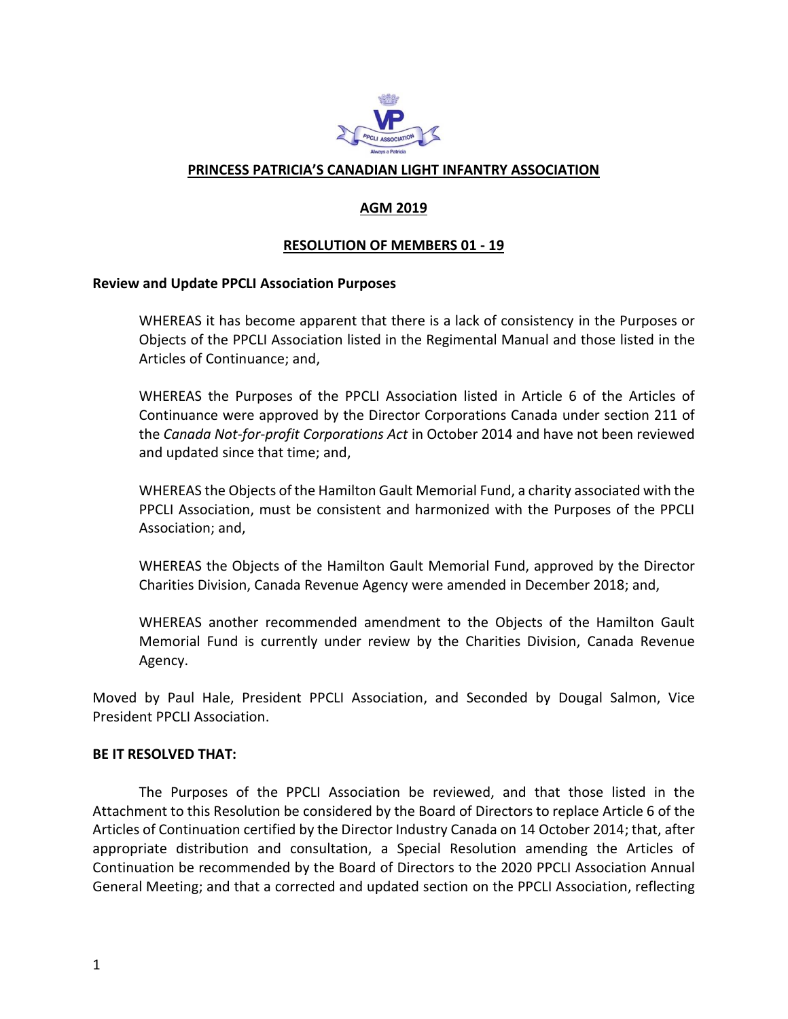

### **PRINCESS PATRICIA'S CANADIAN LIGHT INFANTRY ASSOCIATION**

# **AGM 2019**

### **RESOLUTION OF MEMBERS 01 - 19**

#### **Review and Update PPCLI Association Purposes**

WHEREAS it has become apparent that there is a lack of consistency in the Purposes or Objects of the PPCLI Association listed in the Regimental Manual and those listed in the Articles of Continuance; and,

WHEREAS the Purposes of the PPCLI Association listed in Article 6 of the Articles of Continuance were approved by the Director Corporations Canada under section 211 of the *Canada Not-for-profit Corporations Act* in October 2014 and have not been reviewed and updated since that time; and,

WHEREAS the Objects of the Hamilton Gault Memorial Fund, a charity associated with the PPCLI Association, must be consistent and harmonized with the Purposes of the PPCLI Association; and,

WHEREAS the Objects of the Hamilton Gault Memorial Fund, approved by the Director Charities Division, Canada Revenue Agency were amended in December 2018; and,

WHEREAS another recommended amendment to the Objects of the Hamilton Gault Memorial Fund is currently under review by the Charities Division, Canada Revenue Agency.

Moved by Paul Hale, President PPCLI Association, and Seconded by Dougal Salmon, Vice President PPCLI Association.

#### **BE IT RESOLVED THAT:**

The Purposes of the PPCLI Association be reviewed, and that those listed in the Attachment to this Resolution be considered by the Board of Directors to replace Article 6 of the Articles of Continuation certified by the Director Industry Canada on 14 October 2014; that, after appropriate distribution and consultation, a Special Resolution amending the Articles of Continuation be recommended by the Board of Directors to the 2020 PPCLI Association Annual General Meeting; and that a corrected and updated section on the PPCLI Association, reflecting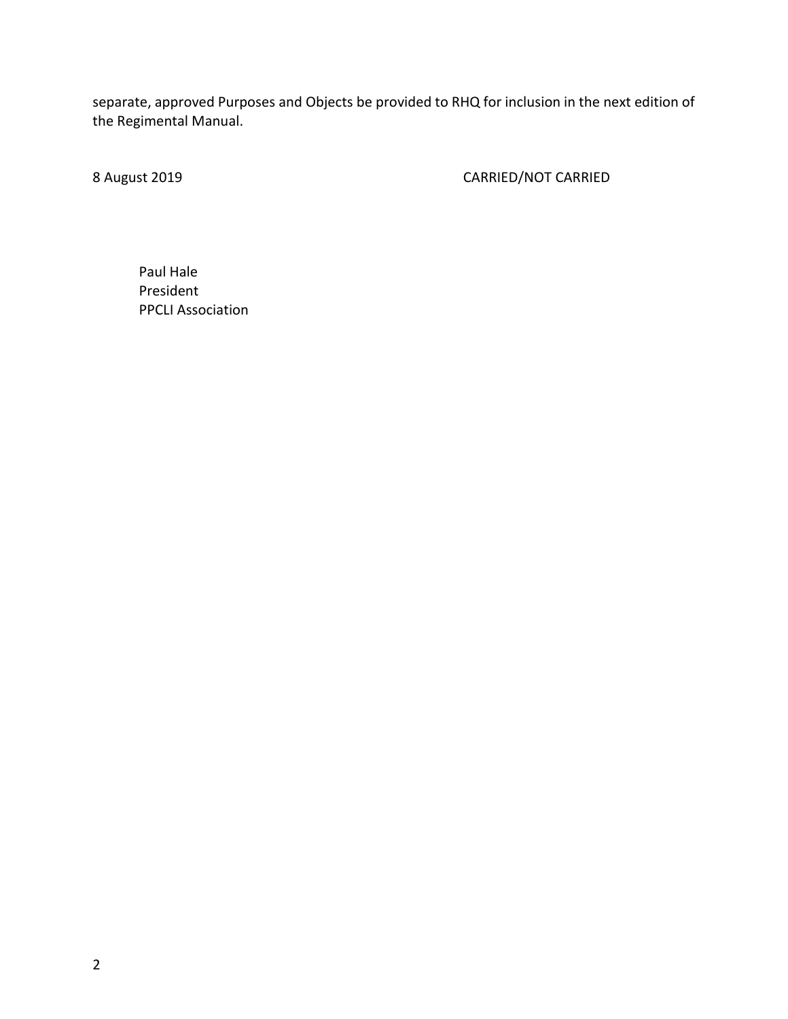separate, approved Purposes and Objects be provided to RHQ for inclusion in the next edition of the Regimental Manual.

8 August 2019 **CARRIED/NOT CARRIED** 

Paul Hale President PPCLI Association